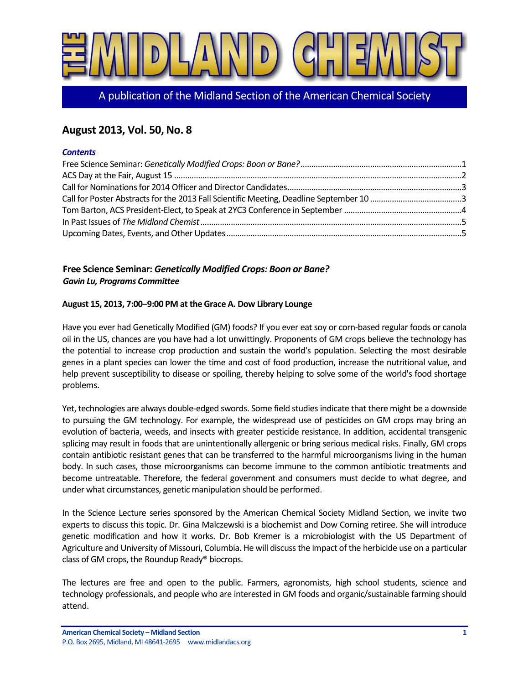

A publication of the Midland Section of the American Chemical Society

# **August 2013, Vol. 50, No. 8**

#### *Contents*

## <span id="page-0-0"></span>**Free Science Seminar:** *Genetically Modified Crops: Boon or Bane? Gavin Lu, Programs Committee*

#### **August 15, 2013, 7:00–9:00 PM at the Grace A. Dow Library Lounge**

Have you ever had Genetically Modified (GM) foods? If you ever eat soy or corn-based regular foods or canola oil in the US, chances are you have had a lot unwittingly. Proponents of GM crops believe the technology has the potential to increase crop production and sustain the world's population. Selecting the most desirable genes in a plant species can lower the time and cost of food production, increase the nutritional value, and help prevent susceptibility to disease or spoiling, thereby helping to solve some of the world's food shortage problems.

Yet, technologies are always double-edged swords. Some field studies indicate that there might be a downside to pursuing the GM technology. For example, the widespread use of pesticides on GM crops may bring an evolution of bacteria, weeds, and insects with greater pesticide resistance. In addition, accidental transgenic splicing may result in foods that are unintentionally allergenic or bring serious medical risks. Finally, GM crops contain antibiotic resistant genes that can be transferred to the harmful microorganisms living in the human body. In such cases, those microorganisms can become immune to the common antibiotic treatments and become untreatable. Therefore, the federal government and consumers must decide to what degree, and under what circumstances, genetic manipulation should be performed.

In the Science Lecture series sponsored by the American Chemical Society Midland Section, we invite two experts to discuss this topic. Dr. Gina Malczewski is a biochemist and Dow Corning retiree. She will introduce genetic modification and how it works. Dr. Bob Kremer is a microbiologist with the US Department of Agriculture and University of Missouri, Columbia. He will discuss the impact of the herbicide use on a particular class of GM crops, the Roundup Ready® biocrops.

The lectures are free and open to the public. Farmers, agronomists, high school students, science and technology professionals, and people who are interested in GM foods and organic/sustainable farming should attend.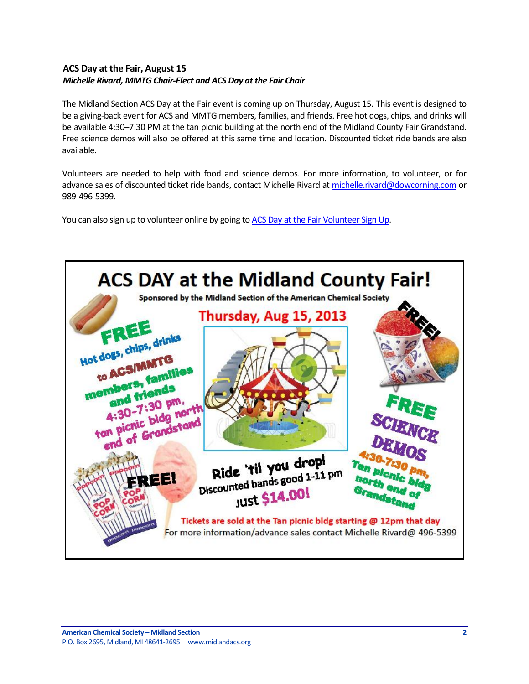### <span id="page-1-0"></span>**ACS Day at the Fair, August 15** *Michelle Rivard, MMTG Chair-Elect and ACS Day at the Fair Chair*

The Midland Section ACS Day at the Fair event is coming up on Thursday, August 15. This event is designed to be a giving-back event for ACS and MMTG members, families, and friends. Free hot dogs, chips, and drinks will be available 4:30–7:30 PM at the tan picnic building at the north end of the Midland County Fair Grandstand. Free science demos will also be offered at this same time and location. Discounted ticket ride bands are also available.

Volunteers are needed to help with food and science demos. For more information, to volunteer, or for advance sales of discounted ticket ride bands, contact Michelle Rivard at michelle rivard@dowcorning.com or 989-496-5399.

You can also sign up to volunteer online by going t[o ACS Day at the Fair Volunteer Sign Up.](http://www.signupgenius.com/go/70A054BADAA2EA20-acsday)

<span id="page-1-1"></span>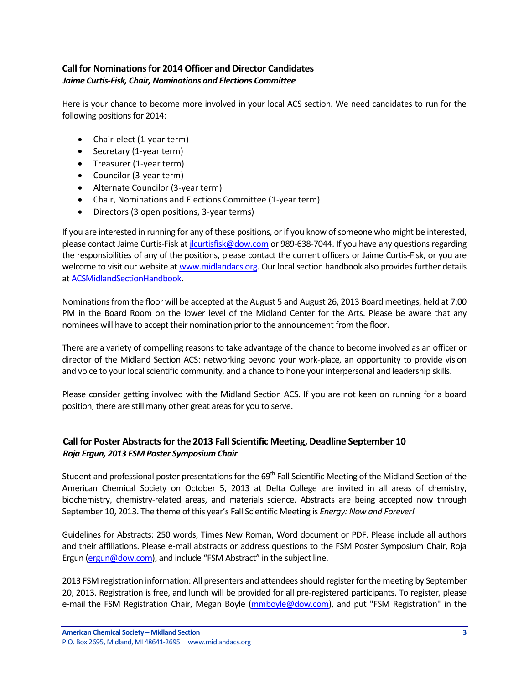### **Call for Nominations for 2014 Officer and Director Candidates** *Jaime Curtis-Fisk, Chair, Nominations and Elections Committee*

Here is your chance to become more involved in your local ACS section. We need candidates to run for the following positions for 2014:

- Chair-elect (1-year term)
- Secretary (1-year term)
- Treasurer (1-year term)
- Councilor (3-year term)
- Alternate Councilor (3-year term)
- Chair, Nominations and Elections Committee (1-year term)
- Directors (3 open positions, 3-year terms)

If you are interested in running for any of these positions, or if you know of someone who might be interested, please contact Jaime Curtis-Fisk a[t jlcurtisfisk@dow.com](mailto:jlcurtisfisk@dow.com) or 989-638-7044. If you have any questions regarding the responsibilities of any of the positions, please contact the current officers or Jaime Curtis-Fisk, or you are welcome to visit our website a[t www.midlandacs.org.](http://www.midlandacs.org/) Our local section handbook also provides further details a[t ACSMidlandSectionHandbook.](http://midlandacs.org/uploads/images/administration/ACSMidlandSectionHandbook.pdf)

Nominations from the floor will be accepted at the August 5 and August 26, 2013 Board meetings, held at 7:00 PM in the Board Room on the lower level of the Midland Center for the Arts. Please be aware that any nominees will have to accept their nomination prior to the announcement from the floor.

There are a variety of compelling reasons to take advantage of the chance to become involved as an officer or director of the Midland Section ACS: networking beyond your work-place, an opportunity to provide vision and voice to your local scientific community, and a chance to hone your interpersonal and leadership skills.

Please consider getting involved with the Midland Section ACS. If you are not keen on running for a board position, there are still many other great areas for you to serve.

### <span id="page-2-0"></span>**Call for Poster Abstracts for the 2013 Fall Scientific Meeting, Deadline September 10** *Roja Ergun, 2013 FSM Poster Symposium Chair*

Student and professional poster presentations for the 69<sup>th</sup> Fall Scientific Meeting of the Midland Section of the American Chemical Society on October 5, 2013 at Delta College are invited in all areas of chemistry, biochemistry, chemistry-related areas, and materials science. Abstracts are being accepted now through September 10, 2013. The theme of this year's Fall Scientific Meeting is *Energy: Now and Forever!*

Guidelines for Abstracts: 250 words, Times New Roman, Word document or PDF. Please include all authors and their affiliations. Please e-mail abstracts or address questions to the FSM Poster Symposium Chair, Roja Ergun [\(ergun@dow.com](mailto:ergun@dow.com)), and include "FSM Abstract" in the subject line.

2013 FSM registration information: All presenters and attendees should register for the meeting by September 20, 2013. Registration is free, and lunch will be provided for all pre-registered participants. To register, please e-mail the FSM Registration Chair, Megan Boyle [\(mmboyle@dow.com\)](mailto:mmboyle@dow.com), and put "FSM Registration" in the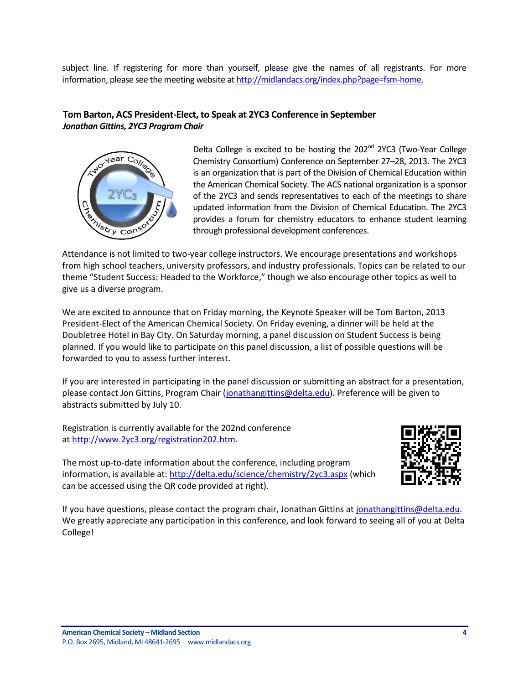subject line. If registering for more than yourself, please give the names of all registrants. For more information, please see the meeting website a[t http://midlandacs.org/index.php?page=fsm-home.](http://midlandacs.org/index.php?page=fsm-home)

### <span id="page-3-0"></span>**Tom Barton, ACS President-Elect, to Speak at 2YC3 Conference in September** *Jonathan Gittins, 2YC3 Program Chair*



Delta College is excited to be hosting the  $202<sup>nd</sup>$  2YC3 (Two-Year College Chemistry Consortium) Conference on September 27–28, 2013. The 2YC3 is an organization that is part of the Division of Chemical Education within the American Chemical Society. The ACS national organization is a sponsor of the 2YC3 and sends representatives to each of the meetings to share updated information from the Division of Chemical Education. The 2YC3 provides a forum for chemistry educators to enhance student learning through professional development conferences.

Attendance is not limited to two-year college instructors. We encourage presentations and workshops from high school teachers, university professors, and industry professionals. Topics can be related to our theme "Student Success: Headed to the Workforce," though we also encourage other topics as well to give us a diverse program.

We are excited to announce that on Friday morning, the Keynote Speaker will be Tom Barton, 2013 President-Elect of the American Chemical Society. On Friday evening, a dinner will be held at the Doubletree Hotel in Bay City. On Saturday morning, a panel discussion on Student Success is being planned. If you would like to participate on this panel discussion, a list of possible questions will be forwarded to you to assess further interest.

If you are interested in participating in the panel discussion or submitting an abstract for a presentation, please contact Jon Gittins, Program Chair [\(jonathangittins@delta.edu\)](https://owa.delta.edu/owa/redir.aspx?C=GHFCBkpsaUGpIeOk3J1TPnffwr1pMNBIt50uaEiu3pnwrsuB8Sieje4kBqtXLFQKW6SymQnbXMI.&URL=mailto%3ajonathangittins%40delta.edu). Preference will be given to abstracts submitted by July 10.

Registration is currently available for the 202nd conference at [http://www.2yc3.org/registration202.htm.](https://owa.delta.edu/owa/redir.aspx?C=GHFCBkpsaUGpIeOk3J1TPnffwr1pMNBIt50uaEiu3pnwrsuB8Sieje4kBqtXLFQKW6SymQnbXMI.&URL=http%3a%2f%2fwww.2yc3.org%2fregistration202.htm)

The most up-to-date information about the conference, including program information, is available at: [http://delta.edu/science/chemistry/2yc3.aspx](https://owa.delta.edu/owa/redir.aspx?C=GHFCBkpsaUGpIeOk3J1TPnffwr1pMNBIt50uaEiu3pnwrsuB8Sieje4kBqtXLFQKW6SymQnbXMI.&URL=http%3a%2f%2fdelta.edu%2fscience%2fchemistry%2f2yc3.aspx) (which can be accessed using the QR code provided at right).



If you have questions, please contact the program chair, Jonathan Gittins at [jonathangittins@delta.edu.](https://owa.delta.edu/owa/redir.aspx?C=GHFCBkpsaUGpIeOk3J1TPnffwr1pMNBIt50uaEiu3pnwrsuB8Sieje4kBqtXLFQKW6SymQnbXMI.&URL=mailto%3ajonathangittins%40delta.edu) We greatly appreciate any participation in this conference, and look forward to seeing all of you at Delta College!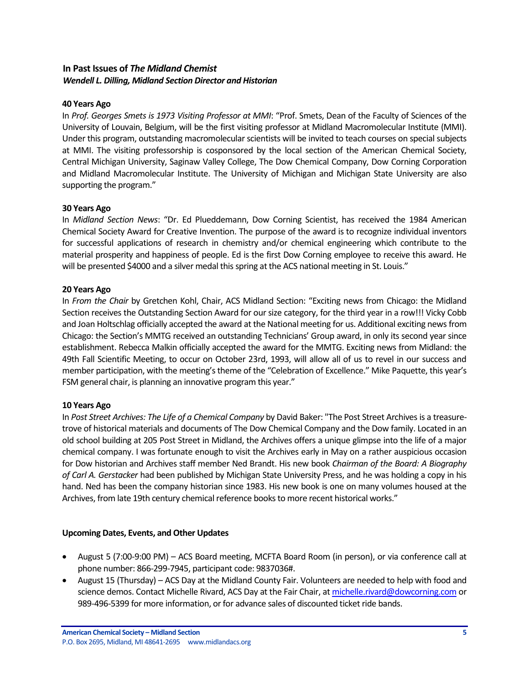### <span id="page-4-0"></span>**In Past Issues of** *The Midland Chemist Wendell L. Dilling, Midland Section Director and Historian*

#### **40 Years Ago**

In *Prof. Georges Smets is 1973 Visiting Professor at MMI*: "Prof. Smets, Dean of the Faculty of Sciences of the University of Louvain, Belgium, will be the first visiting professor at Midland Macromolecular Institute (MMI). Under this program, outstanding macromolecular scientists will be invited to teach courses on special subjects at MMI. The visiting professorship is cosponsored by the local section of the American Chemical Society, Central Michigan University, Saginaw Valley College, The Dow Chemical Company, Dow Corning Corporation and Midland Macromolecular Institute. The University of Michigan and Michigan State University are also supporting the program."

#### **30 Years Ago**

In *Midland Section News*: "Dr. Ed Plueddemann, Dow Corning Scientist, has received the 1984 American Chemical Society Award for Creative Invention. The purpose of the award is to recognize individual inventors for successful applications of research in chemistry and/or chemical engineering which contribute to the material prosperity and happiness of people. Ed is the first Dow Corning employee to receive this award. He will be presented \$4000 and a silver medal this spring at the ACS national meeting in St. Louis."

#### **20 Years Ago**

In *From the Chair* by Gretchen Kohl, Chair, ACS Midland Section: "Exciting news from Chicago: the Midland Section receives the Outstanding Section Award for our size category, for the third year in a row!!! Vicky Cobb and Joan Holtschlag officially accepted the award at the National meeting for us. Additional exciting news from Chicago: the Section's MMTG received an outstanding Technicians' Group award, in only its second year since establishment. Rebecca Malkin officially accepted the award for the MMTG. Exciting news from Midland: the 49th Fall Scientific Meeting, to occur on October 23rd, 1993, will allow all of us to revel in our success and member participation, with the meeting's theme of the "Celebration of Excellence." Mike Paquette, this year's FSM general chair, is planning an innovative program this year."

#### **10 Years Ago**

In *Post Street Archives: The Life of a Chemical Company* by David Baker: "The Post Street Archives is a treasuretrove of historical materials and documents of The Dow Chemical Company and the Dow family. Located in an old school building at 205 Post Street in Midland, the Archives offers a unique glimpse into the life of a major chemical company. I was fortunate enough to visit the Archives early in May on a rather auspicious occasion for Dow historian and Archives staff member Ned Brandt. His new book *Chairman of the Board: A Biography of Carl A. Gerstacker* had been published by Michigan State University Press, and he was holding a copy in his hand. Ned has been the company historian since 1983. His new book is one on many volumes housed at the Archives, from late 19th century chemical reference books to more recent historical works."

#### <span id="page-4-1"></span>**Upcoming Dates, Events, and Other Updates**

- August 5 (7:00-9:00 PM) ACS Board meeting, MCFTA Board Room (in person), or via conference call at phone number: 866-299-7945, participant code: 9837036#.
- August 15 (Thursday) ACS Day at the Midland County Fair. Volunteers are needed to help with food and science demos. Contact Michelle Rivard, ACS Day at the Fair Chair, a[t michelle.rivard@dowcorning.com](mailto:michelle.rivard@dowcorning.com) or 989-496-5399 for more information, or for advance sales of discounted ticket ride bands.